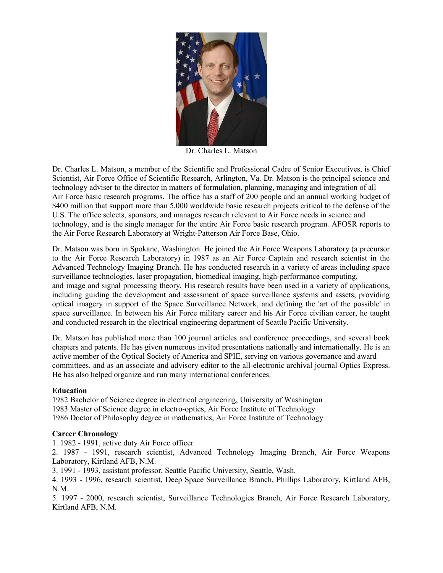

Dr. Charles L. Matson

Dr. Charles L. Matson, a member of the Scientific and Professional Cadre of Senior Executives, is Chief Scientist, Air Force Office of Scientific Research, Arlington, Va. Dr. Matson is the principal science and technology adviser to the director in matters of formulation, planning, managing and integration of all Air Force basic research programs. The office has a staff of 200 people and an annual working budget of \$400 million that support more than 5,000 worldwide basic research projects critical to the defense of the U.S. The office selects, sponsors, and manages research relevant to Air Force needs in science and technology, and is the single manager for the entire Air Force basic research program. AFOSR reports to the Air Force Research Laboratory at Wright-Patterson Air Force Base, Ohio.

Dr. Matson was born in Spokane, Washington. He joined the Air Force Weapons Laboratory (a precursor to the Air Force Research Laboratory) in 1987 as an Air Force Captain and research scientist in the Advanced Technology Imaging Branch. He has conducted research in a variety of areas including space surveillance technologies, laser propagation, biomedical imaging, high-performance computing,

and image and signal processing theory. His research results have been used in a variety of applications, including guiding the development and assessment of space surveillance systems and assets, providing optical imagery in support of the Space Surveillance Network, and defining the 'art of the possible' in space surveillance. In between his Air Force military career and his Air Force civilian career, he taught and conducted research in the electrical engineering department of Seattle Pacific University.

Dr. Matson has published more than 100 journal articles and conference proceedings, and several book chapters and patents. He has given numerous invited presentations nationally and internationally. He is an active member of the Optical Society of America and SPIE, serving on various governance and award committees, and as an associate and advisory editor to the all-electronic archival journal Optics Express. He has also helped organize and run many international conferences.

## **Education**

1982 Bachelor of Science degree in electrical engineering, University of Washington 1983 Master of Science degree in electro-optics, Air Force Institute of Technology 1986 Doctor of Philosophy degree in mathematics, Air Force Institute of Technology

## **Career Chronology**

1. 1982 - 1991, active duty Air Force officer

2. 1987 - 1991, research scientist, Advanced Technology Imaging Branch, Air Force Weapons Laboratory, Kirtland AFB, N.M.

3. 1991 - 1993, assistant professor, Seattle Pacific University, Seattle, Wash.

4. 1993 - 1996, research scientist, Deep Space Surveillance Branch, Phillips Laboratory, Kirtland AFB, N.M.

5. 1997 - 2000, research scientist, Surveillance Technologies Branch, Air Force Research Laboratory, Kirtland AFB, N.M.